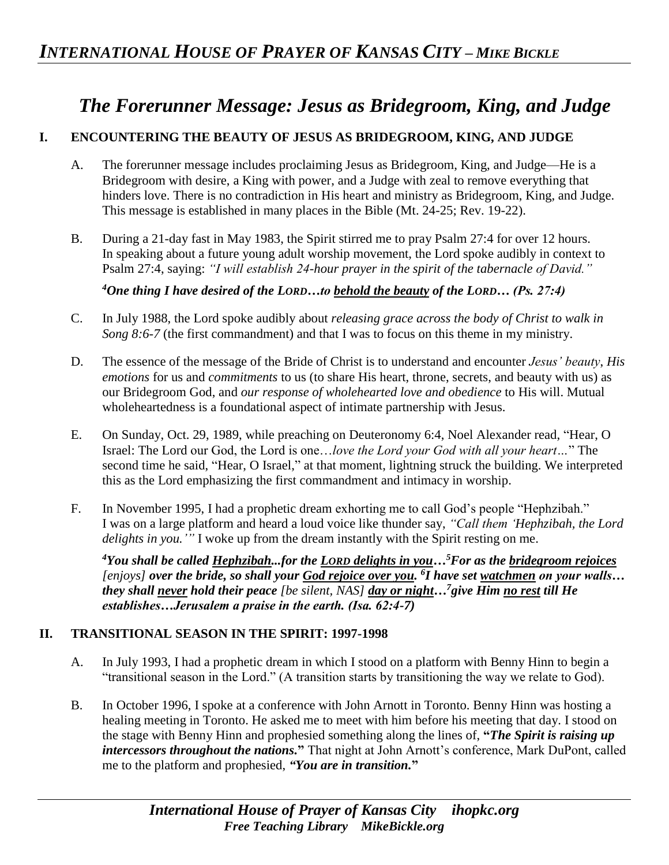# *The Forerunner Message: Jesus as Bridegroom, King, and Judge*

## **I. ENCOUNTERING THE BEAUTY OF JESUS AS BRIDEGROOM, KING, AND JUDGE**

- A. The forerunner message includes proclaiming Jesus as Bridegroom, King, and Judge—He is a Bridegroom with desire, a King with power, and a Judge with zeal to remove everything that hinders love. There is no contradiction in His heart and ministry as Bridegroom, King, and Judge. This message is established in many places in the Bible (Mt. 24-25; Rev. 19-22).
- B. During a 21-day fast in May 1983, the Spirit stirred me to pray Psalm 27:4 for over 12 hours. In speaking about a future young adult worship movement, the Lord spoke audibly in context to Psalm 27:4, saying: *"I will establish 24-hour prayer in the spirit of the tabernacle of David."*

*<sup>4</sup>One thing I have desired of the LORD…to behold the beauty of the LORD… (Ps. 27:4)* 

- C. In July 1988, the Lord spoke audibly about *releasing grace across the body of Christ to walk in Song 8:6-7* (the first commandment) and that I was to focus on this theme in my ministry.
- D. The essence of the message of the Bride of Christ is to understand and encounter *Jesus' beauty*, *His emotions* for us and *commitments* to us (to share His heart, throne, secrets, and beauty with us) as our Bridegroom God, and *our response of wholehearted love and obedience* to His will. Mutual wholeheartedness is a foundational aspect of intimate partnership with Jesus.
- E. On Sunday, Oct. 29, 1989, while preaching on Deuteronomy 6:4, Noel Alexander read, "Hear, O Israel: The Lord our God, the Lord is one…*love the Lord your God with all your heart…*" The second time he said, "Hear, O Israel," at that moment, lightning struck the building. We interpreted this as the Lord emphasizing the first commandment and intimacy in worship.
- F. In November 1995, I had a prophetic dream exhorting me to call God's people "Hephzibah." I was on a large platform and heard a loud voice like thunder say, *"Call them 'Hephzibah, the Lord delights in you.'"* I woke up from the dream instantly with the Spirit resting on me.

*<sup>4</sup>You shall be called Hephzibah...for the LORD delights in you…<sup>5</sup>For as the bridegroom rejoices [enjoys] over the bride, so shall your God rejoice over you. 6 I have set watchmen on your walls… they shall never hold their peace [be silent, NAS] day or night…<sup>7</sup>give Him no rest till He establishes…Jerusalem a praise in the earth. (Isa. 62:4-7)* 

#### **II. TRANSITIONAL SEASON IN THE SPIRIT: 1997-1998**

- A. In July 1993, I had a prophetic dream in which I stood on a platform with Benny Hinn to begin a "transitional season in the Lord." (A transition starts by transitioning the way we relate to God).
- B. In October 1996, I spoke at a conference with John Arnott in Toronto. Benny Hinn was hosting a healing meeting in Toronto. He asked me to meet with him before his meeting that day. I stood on the stage with Benny Hinn and prophesied something along the lines of, **"***The Spirit is raising up intercessors throughout the nations.***"** That night at John Arnott's conference, Mark DuPont, called me to the platform and prophesied, *"You are in transition.***"**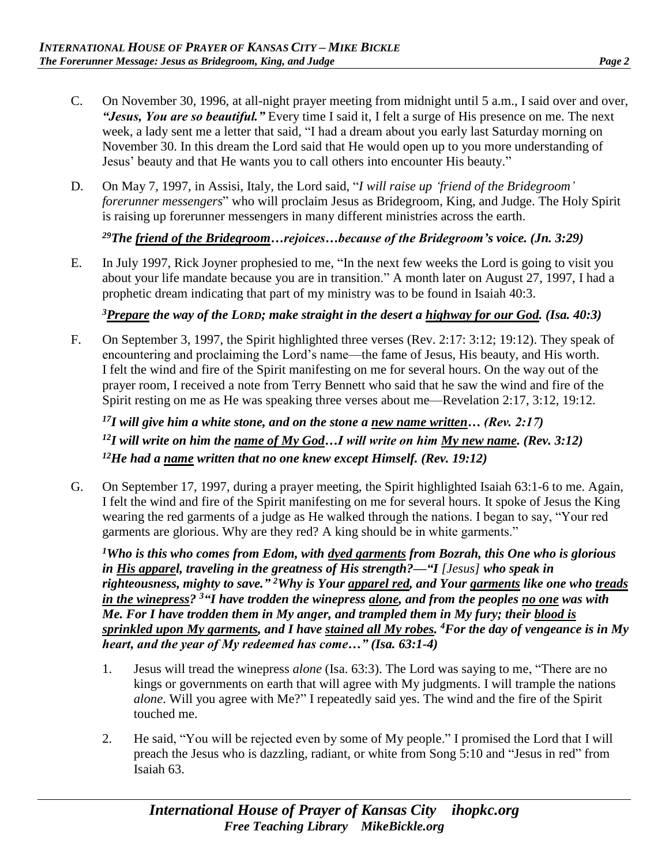- C. On November 30, 1996, at all-night prayer meeting from midnight until 5 a.m., I said over and over, *"Jesus, You are so beautiful."* Every time I said it, I felt a surge of His presence on me. The next week, a lady sent me a letter that said, "I had a dream about you early last Saturday morning on November 30. In this dream the Lord said that He would open up to you more understanding of Jesus' beauty and that He wants you to call others into encounter His beauty."
- D. On May 7, 1997, in Assisi, Italy, the Lord said, "*I will raise up 'friend of the Bridegroom' forerunner messengers*" who will proclaim Jesus as Bridegroom, King, and Judge. The Holy Spirit is raising up forerunner messengers in many different ministries across the earth.

### *<sup>29</sup>The friend of the Bridegroom…rejoices…because of the Bridegroom's voice. (Jn. 3:29)*

E. In July 1997, Rick Joyner prophesied to me, "In the next few weeks the Lord is going to visit you about your life mandate because you are in transition." A month later on August 27, 1997, I had a prophetic dream indicating that part of my ministry was to be found in Isaiah 40:3.

## *<sup>3</sup>Prepare the way of the LORD; make straight in the desert a highway for our God. (Isa. 40:3)*

F. On September 3, 1997, the Spirit highlighted three verses (Rev. 2:17: 3:12; 19:12). They speak of encountering and proclaiming the Lord's name—the fame of Jesus, His beauty, and His worth. I felt the wind and fire of the Spirit manifesting on me for several hours. On the way out of the prayer room, I received a note from Terry Bennett who said that he saw the wind and fire of the Spirit resting on me as He was speaking three verses about me—Revelation 2:17, 3:12, 19:12.

*<sup>17</sup>I will give him a white stone, and on the stone a new name written… (Rev. 2:17) <sup>12</sup>I will write on him the name of My God…I will write on him My new name. (Rev. 3:12) <sup>12</sup>He had a name written that no one knew except Himself. (Rev. 19:12)* 

G. On September 17, 1997, during a prayer meeting, the Spirit highlighted Isaiah 63:1-6 to me. Again, I felt the wind and fire of the Spirit manifesting on me for several hours. It spoke of Jesus the King wearing the red garments of a judge as He walked through the nations. I began to say, "Your red garments are glorious. Why are they red? A king should be in white garments."

*<sup>1</sup>Who is this who comes from Edom, with dyed garments from Bozrah, this One who is glorious in His apparel, traveling in the greatness of His strength?—"I [Jesus] who speak in righteousness, mighty to save." <sup>2</sup>Why is Your apparel red, and Your garments like one who treads in the winepress? <sup>3</sup>"I have trodden the winepress alone, and from the peoples no one was with Me. For I have trodden them in My anger, and trampled them in My fury; their blood is sprinkled upon My garments, and I have stained all My robes. <sup>4</sup>For the day of vengeance is in My heart, and the year of My redeemed has come…" (Isa. 63:1-4)* 

- 1. Jesus will tread the winepress *alone* (Isa. 63:3). The Lord was saying to me, "There are no kings or governments on earth that will agree with My judgments. I will trample the nations *alone*. Will you agree with Me?" I repeatedly said yes. The wind and the fire of the Spirit touched me.
- 2. He said, "You will be rejected even by some of My people." I promised the Lord that I will preach the Jesus who is dazzling, radiant, or white from Song 5:10 and "Jesus in red" from Isaiah 63.